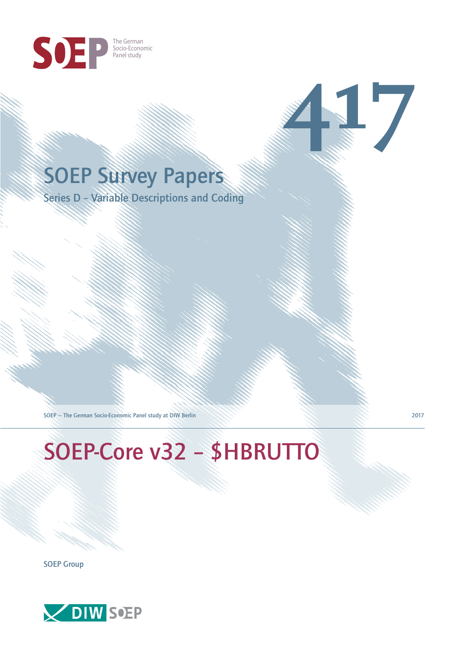

# SOEP Survey Papers

Series D – Variable Descriptions and Coding

SOEP — The German Socio-Economic Panel study at DIW Berlin 2017

SOEP-Core v32 – \$HBRUTTO

SOEP Group



**417**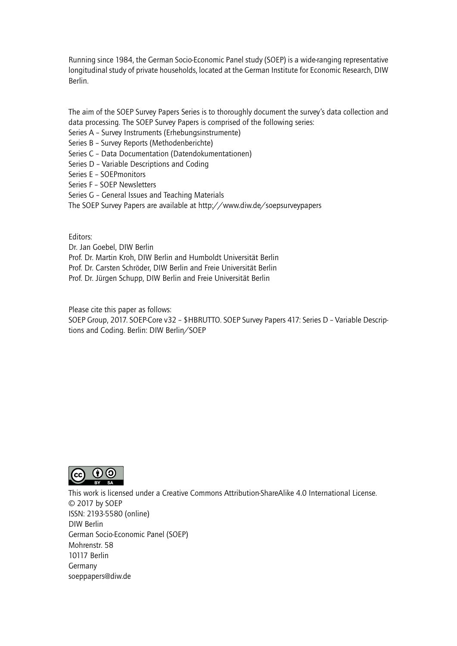Running since 1984, the German Socio-Economic Panel study (SOEP) is a wide-ranging representative longitudinal study of private households, located at the German Institute for Economic Research, DIW Berlin.

The aim of the SOEP Survey Papers Series is to thoroughly document the survey's data collection and data processing. The SOEP Survey Papers is comprised of the following series:

- Series A Survey Instruments (Erhebungsinstrumente)
- Series B Survey Reports (Methodenberichte)
- Series C Data Documentation (Datendokumentationen)
- Series D Variable Descriptions and Coding
- Series E SOEPmonitors
- Series F SOEP Newsletters
- Series G General Issues and Teaching Materials
- The SOEP Survey Papers are available at http://www.diw.de/soepsurveypapers

Editors:

Dr. Jan Goebel, DIW Berlin

- Prof. Dr. Martin Kroh, DIW Berlin and Humboldt Universität Berlin
- Prof. Dr. Carsten Schröder, DIW Berlin and Freie Universität Berlin
- Prof. Dr. Jürgen Schupp, DIW Berlin and Freie Universität Berlin

Please cite this paper as follows:

SOEP Group, 2017. SOEP-Core v32 – \$HBRUTTO. SOEP Survey Papers 417: Series D – Variable Descriptions and Coding. Berlin: DIW Berlin/SOEP



This work is licensed under a Creative Commons Attribution-ShareAlike 4.0 International License. © 2017 by SOEP ISSN: 2193-5580 (online) DIW Berlin German Socio-Economic Pan[el \(SOEP\)](http://creativecommons.org/licenses/by-sa/4.0/) Mohrenstr. 58 10117 Berlin Germany soeppapers@diw.de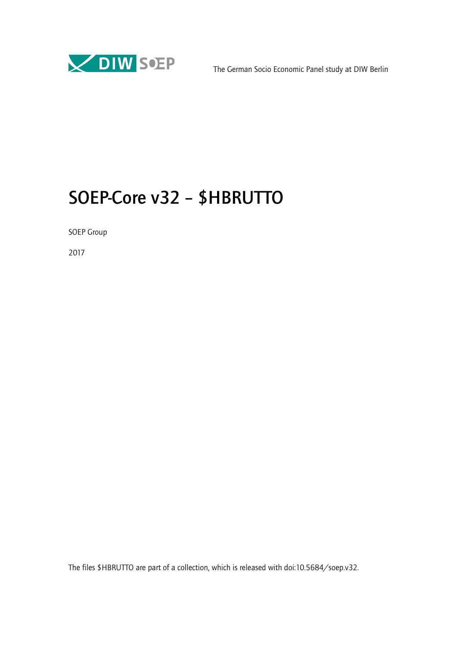

# SOEP-Core v32 – \$HBRUTTO

SOEP Group

2017

The files \$HBRUTTO are part of a collection, which is released with doi:10.5684/soep.v32.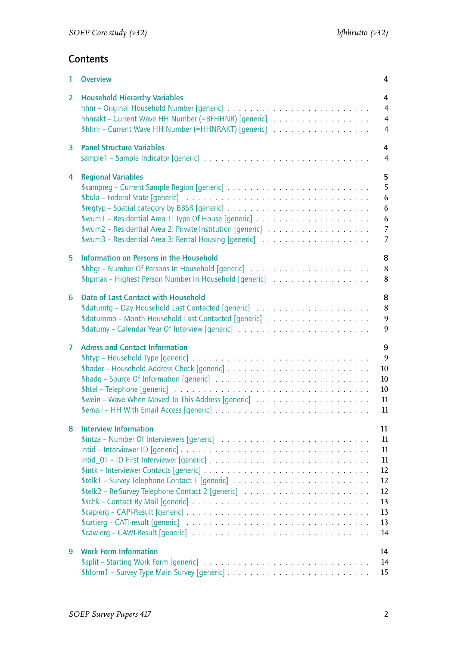# **Contents**

| 1              | <b>Overview</b>                                                                                                                                                | 4                                                              |
|----------------|----------------------------------------------------------------------------------------------------------------------------------------------------------------|----------------------------------------------------------------|
| 2              | <b>Household Hierarchy Variables</b><br>hhnrakt - Current Wave HH Number (=BFHHNR) [generic]<br>\$hhnr - Current Wave HH Number (=HHNRAKT) [generic]           | 4<br>$\overline{4}$<br>$\overline{4}$<br>$\overline{4}$        |
| 3              | <b>Panel Structure Variables</b>                                                                                                                               | 4<br>$\overline{4}$                                            |
| 4              | <b>Regional Variables</b><br>\$wum3 - Residential Area 3: Rental Housing [generic]                                                                             | 5<br>5<br>6<br>6<br>6<br>$\overline{7}$<br>7                   |
| 5              | Information on Persons in the Household<br>\$hpmax - Highest Person Number In Household [generic]                                                              | 8<br>8<br>8                                                    |
| 6              | Date of Last Contact with Household                                                                                                                            | 8<br>$\,8\,$<br>9<br>9                                         |
| $\overline{7}$ | <b>Adress and Contact Information</b>                                                                                                                          | 9<br>$\overline{9}$<br>10<br>10<br>10<br>11<br>11              |
| 8              | <b>Interview Information</b><br>\$catierg – CATI-result [generic] $\ldots \ldots \ldots \ldots \ldots \ldots \ldots \ldots \ldots \ldots \ldots \ldots \ldots$ | 11<br>11<br>11<br>11<br>12<br>12<br>12<br>13<br>13<br>13<br>14 |
| 9              | <b>Work Form Information</b>                                                                                                                                   | 14<br>14<br>15                                                 |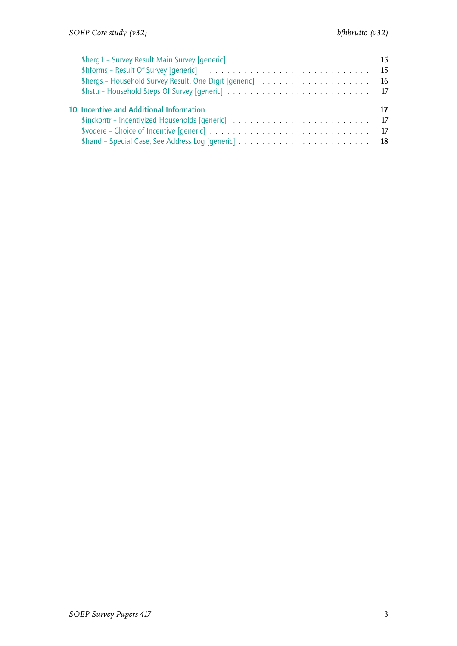| \$hforms – Result Of Survey [generic] $\ldots \ldots \ldots \ldots \ldots \ldots \ldots \ldots \ldots \ldots \ldots$<br>\$hergs - Household Survey Result, One Digit [generic] $\ldots \ldots \ldots \ldots \ldots \ldots$ |  |
|----------------------------------------------------------------------------------------------------------------------------------------------------------------------------------------------------------------------------|--|
| 10 Incentive and Additional Information                                                                                                                                                                                    |  |
| \$inckontr - Incentivized Households [generic] $\ldots \ldots \ldots \ldots \ldots \ldots \ldots \ldots \ldots$                                                                                                            |  |
| \$vodere – Choice of Incentive [generic] $\ldots \ldots \ldots \ldots \ldots \ldots \ldots \ldots \ldots \ldots \ldots$                                                                                                    |  |
|                                                                                                                                                                                                                            |  |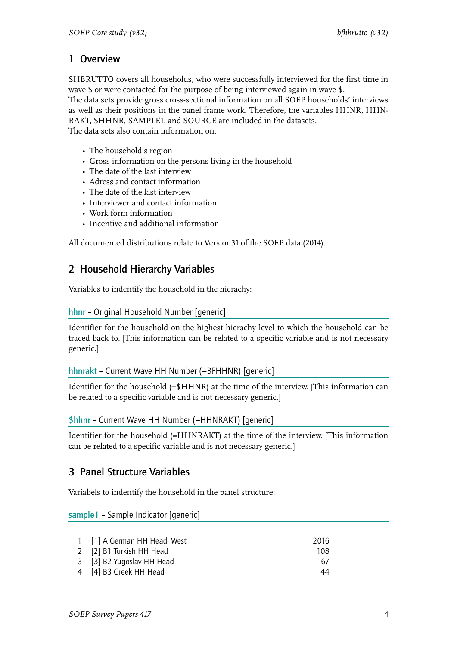# <span id="page-5-0"></span>1 Overview

\$HBRUTTO covers all households, who were successfully interviewed for the first time in wave \$ or were contacted for the purpose of being interviewed again in wave \$.

The data sets provide gross cross-sectional information on all SOEP households' interviews as well as their positions in the panel frame work. Therefore, the variables HHNR, HHN-RAKT, \$HHNR, SAMPLE1, and SOURCE are included in the datasets.

The data sets also contain information on:

- The household's region
- Gross information on the persons living in the household
- The date of the last interview
- Adress and contact information
- The date of the last interview
- Interviewer and contact information
- Work form information
- Incentive and additional information

All documented distributions relate to Version31 of the SOEP data (2014).

# <span id="page-5-1"></span>2 Household Hierarchy Variables

Variables to indentify the household in the hierachy:

#### <span id="page-5-2"></span>hhnr – Original Household Number [generic]

Identifier for the household on the highest hierachy level to which the household can be traced back to. [This information can be related to a specific variable and is not necessary generic.]

## <span id="page-5-3"></span>hhnrakt – Current Wave HH Number (=BFHHNR) [generic]

Identifier for the household (=\$HHNR) at the time of the interview. [This information can be related to a specific variable and is not necessary generic.]

#### \$hhnr – Current Wave HH Number (=HHNRAKT) [generic]

Identifier for the household (=HHNRAKT) at the time of the interview. [This information can be related to a specific variable and is not necessary generic.]

# <span id="page-5-4"></span>3 Panel Structure Variables

Variabels to indentify the household in the panel structure:

<span id="page-5-5"></span>sample1 – Sample Indicator [generic]

| 1 [1] A German HH Head, West | 2016 |
|------------------------------|------|
| 2 [2] B1 Turkish HH Head     | 108  |
| 3 [3] B2 Yugoslav HH Head    | 67   |
| 4 [4] B3 Greek HH Head       | 44   |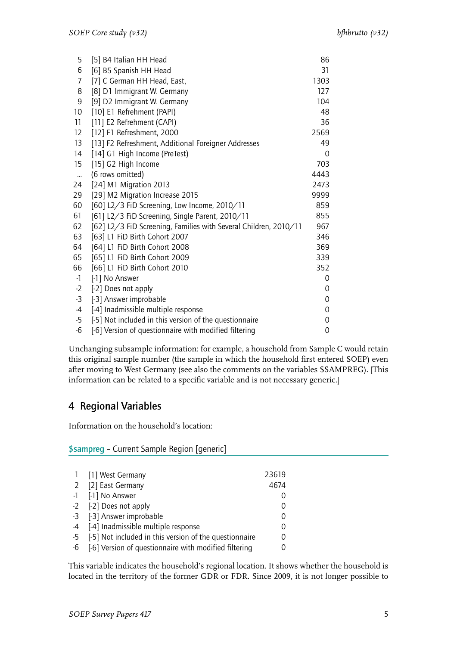| 5                  | [5] B4 Italian HH Head                                           | 86   |
|--------------------|------------------------------------------------------------------|------|
| 6                  | [6] B5 Spanish HH Head                                           | 31   |
| 7                  | [7] C German HH Head, East,                                      | 1303 |
| 8                  | [8] D1 Immigrant W. Germany                                      | 127  |
| 9                  | [9] D2 Immigrant W. Germany                                      | 104  |
| 10                 | [10] E1 Refrehment (PAPI)                                        | 48   |
| 11                 | [11] E2 Refrehment (CAPI)                                        | 36   |
| 12                 | [12] F1 Refreshment, 2000                                        | 2569 |
| 13                 | [13] F2 Refreshment, Additional Foreigner Addresses              | 49   |
| 14                 | [14] G1 High Income (PreTest)                                    | 0    |
| 15                 | [15] G2 High Income                                              | 703  |
| $\bar{\mathbf{u}}$ | (6 rows omitted)                                                 | 4443 |
| 24                 | [24] M1 Migration 2013                                           | 2473 |
| 29                 | [29] M2 Migration Increase 2015                                  | 9999 |
| 60                 | [60] L2/3 FiD Screening, Low Income, 2010/11                     | 859  |
| 61                 | [61] L2/3 FiD Screening, Single Parent, 2010/11                  | 855  |
| 62                 | [62] L2/3 FiD Screening, Families with Several Children, 2010/11 | 967  |
| 63                 | [63] L1 FiD Birth Cohort 2007                                    | 346  |
| 64                 | [64] L1 FiD Birth Cohort 2008                                    | 369  |
| 65                 | [65] L1 FiD Birth Cohort 2009                                    | 339  |
| 66                 | [66] L1 FiD Birth Cohort 2010                                    | 352  |
| $-1$               | [-1] No Answer                                                   | 0    |
| $-2$               | [-2] Does not apply                                              | 0    |
| $-3$               | [-3] Answer improbable                                           | 0    |
| $-4$               | [-4] Inadmissible multiple response                              | 0    |
| $-5$               | [-5] Not included in this version of the questionnaire           | 0    |
| $-6$               | [-6] Version of questionnaire with modified filtering            | 0    |
|                    |                                                                  |      |

Unchanging subsample information: for example, a household from Sample C would retain this original sample number (the sample in which the household first entered SOEP) even after moving to West Germany (see also the comments on the variables \$SAMPREG). [This information can be related to a specific variable and is not necessary generic.]

# <span id="page-6-0"></span>4 Regional Variables

Information on the household's location:

<span id="page-6-1"></span>\$sampreg – Current Sample Region [generic]

| 1 [1] West Germany                                        | 23619 |
|-----------------------------------------------------------|-------|
| 2 [2] East Germany                                        | 4674  |
| -1 [-1] No Answer                                         |       |
| -2 [-2] Does not apply                                    |       |
| -3 [-3] Answer improbable                                 |       |
| -4 [-4] Inadmissible multiple response                    |       |
| -5 [-5] Not included in this version of the questionnaire |       |
| -6 [-6] Version of questionnaire with modified filtering  |       |

This variable indicates the household's regional location. It shows whether the household is located in the territory of the former GDR or FDR. Since 2009, it is not longer possible to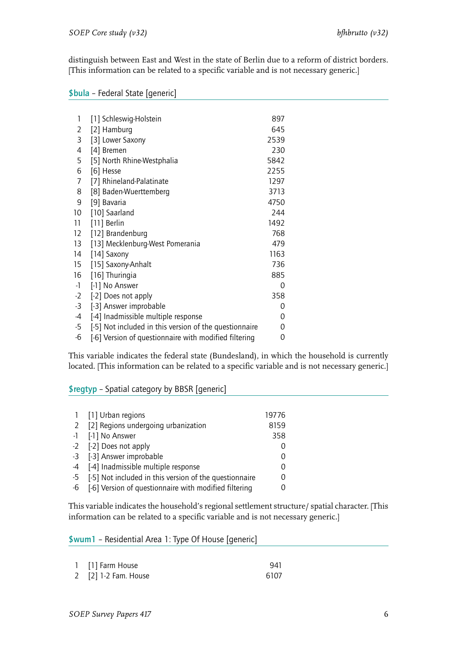distinguish between East and West in the state of Berlin due to a reform of district borders. [This information can be related to a specific variable and is not necessary generic.]

<span id="page-7-0"></span>

| \$bula - Federal State [generic] |  |  |
|----------------------------------|--|--|
|----------------------------------|--|--|

| 1    | [1] Schleswig-Holstein                                 | 897  |
|------|--------------------------------------------------------|------|
| 2    | [2] Hamburg                                            | 645  |
| 3    | [3] Lower Saxony                                       | 2539 |
| 4    | [4] Bremen                                             | 230  |
| 5    | [5] North Rhine-Westphalia                             | 5842 |
| 6    | [6] Hesse                                              | 2255 |
| 7    | [7] Rhineland-Palatinate                               | 1297 |
| 8    | [8] Baden-Wuerttemberg                                 | 3713 |
| 9    | [9] Bavaria                                            | 4750 |
| 10   | [10] Saarland                                          | 244  |
| 11   | [11] Berlin                                            | 1492 |
| 12   | [12] Brandenburg                                       | 768  |
| 13   | [13] Mecklenburg-West Pomerania                        | 479  |
| 14   | [14] Saxony                                            | 1163 |
| 15   | [15] Saxony-Anhalt                                     | 736  |
| 16   | [16] Thuringia                                         | 885  |
| $-1$ | [-1] No Answer                                         | 0    |
| $-2$ | [-2] Does not apply                                    | 358  |
| $-3$ | [-3] Answer improbable                                 | 0    |
| -4   | [-4] Inadmissible multiple response                    | 0    |
| $-5$ | [-5] Not included in this version of the questionnaire | 0    |
| $-6$ | [-6] Version of questionnaire with modified filtering  | 0    |

This variable indicates the federal state (Bundesland), in which the household is currently located. [This information can be related to a specific variable and is not necessary generic.]

<span id="page-7-1"></span>\$regtyp – Spatial category by BBSR [generic]

| 1 [1] Urban regions                                       | 19776            |
|-----------------------------------------------------------|------------------|
| 2 [2] Regions undergoing urbanization                     | 8159             |
| -1 [-1] No Answer                                         | 358              |
| -2 [-2] Does not apply                                    |                  |
| -3 [-3] Answer improbable                                 | $\left( \right)$ |
| -4 [-4] Inadmissible multiple response                    | $\Omega$         |
| -5 [-5] Not included in this version of the questionnaire | 0                |
| -6 [-6] Version of questionnaire with modified filtering  | $\cup$           |

This variable indicates the household's regional settlement structure/ spatial character. [This information can be related to a specific variable and is not necessary generic.]

<span id="page-7-2"></span>\$wum1 – Residential Area 1: Type Of House [generic]

| 1 [1] Farm House     | 941  |
|----------------------|------|
| 2 [2] 1-2 Fam. House | 6107 |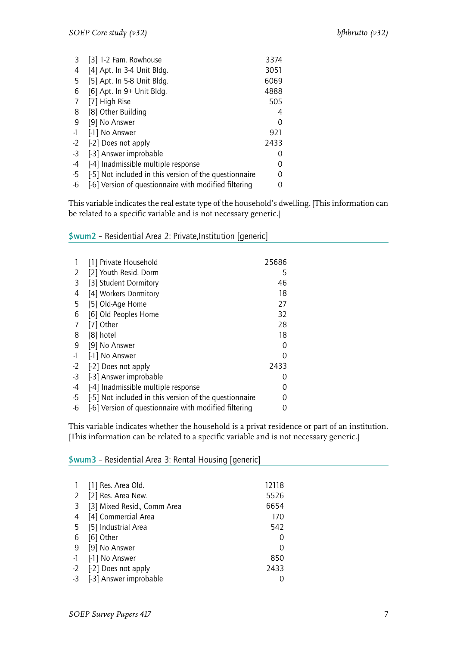| 3    | [3] 1-2 Fam. Rowhouse                                  | 3374          |
|------|--------------------------------------------------------|---------------|
| 4    | [4] Apt. In 3-4 Unit Bldg.                             | 3051          |
| 5    | [5] Apt. In 5-8 Unit Bldg.                             | 6069          |
| 6    | [6] Apt. In 9+ Unit Bldg.                              | 4888          |
| 7    | [7] High Rise                                          | 505           |
| 8    | [8] Other Building                                     | 4             |
| 9    | [9] No Answer                                          | $\mathcal{O}$ |
| $-1$ | [-1] No Answer                                         | 921           |
| $-2$ | [-2] Does not apply                                    | 2433          |
| $-3$ | [-3] Answer improbable                                 | $\mathcal{O}$ |
| -4   | [-4] Inadmissible multiple response                    |               |
| $-5$ | [-5] Not included in this version of the questionnaire |               |
| -6   | [-6] Version of questionnaire with modified filtering  |               |

This variable indicates the real estate type of the household's dwelling. [This information can be related to a specific variable and is not necessary generic.]

### <span id="page-8-0"></span>\$wum2 – Residential Area 2: Private,Institution [generic]

|      | [1] Private Household                                  | 25686 |
|------|--------------------------------------------------------|-------|
| 2    | [2] Youth Resid. Dorm                                  | 5     |
| 3    | [3] Student Dormitory                                  | 46    |
| 4    | [4] Workers Dormitory                                  | 18    |
| 5    | [5] Old-Age Home                                       | 27    |
| 6    | [6] Old Peoples Home                                   | 32    |
| 7    | [7] Other                                              | 28    |
| 8    | [8] hotel                                              | 18    |
| 9    | [9] No Answer                                          | Ω     |
| -1   | [-1] No Answer                                         | ი     |
| $-2$ | [-2] Does not apply                                    | 2433  |
| $-3$ | [-3] Answer improbable                                 | O     |
| -4   | [-4] Inadmissible multiple response                    |       |
| -5   | [-5] Not included in this version of the questionnaire |       |
| -6   | [-6] Version of questionnaire with modified filtering  |       |

This variable indicates whether the household is a privat residence or part of an institution. [This information can be related to a specific variable and is not necessary generic.]

#### <span id="page-8-1"></span>\$wum3 – Residential Area 3: Rental Housing [generic]

| 1  | [1] Res. Area Old.          | 12118         |
|----|-----------------------------|---------------|
| 2  | [2] Res. Area New.          | 5526          |
| 3  | [3] Mixed Resid., Comm Area | 6654          |
| 4  | [4] Commercial Area         | 170           |
| 5  | [5] Industrial Area         | 542           |
| 6  | [6] Other                   | $\mathcal{L}$ |
| 9  | [9] No Answer               | Ω             |
| -1 | [-1] No Answer              | 850           |
| -2 | [-2] Does not apply         | 2433          |
|    | -3 [-3] Answer improbable   |               |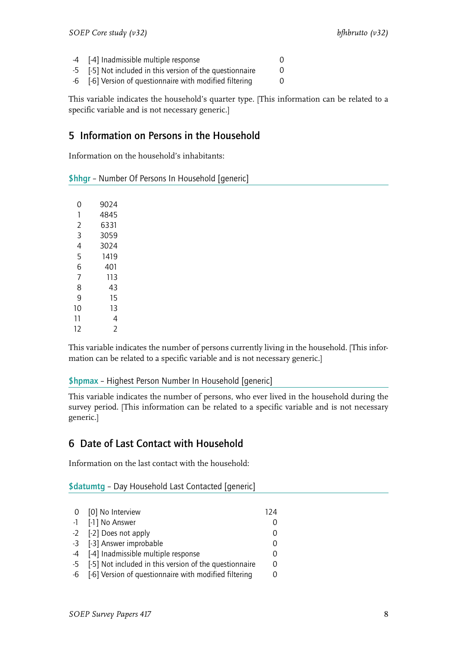- -4 [-4] Inadmissible multiple response 0
- -5 [-5] Not included in this version of the questionnaire 0
- -6 [-6] Version of questionnaire with modified filtering 0

This variable indicates the household's quarter type. [This information can be related to a specific variable and is not necessary generic.]

# <span id="page-9-0"></span>5 Information on Persons in the Household

Information on the household's inhabitants:

<span id="page-9-1"></span>

|  |  |  | \$hhgr - Number Of Persons In Household [generic] |  |
|--|--|--|---------------------------------------------------|--|
|--|--|--|---------------------------------------------------|--|

| 0  | 9024 |
|----|------|
| 1  | 4845 |
| V  | 6331 |
| 3  | 3059 |
| 4  | 3024 |
| 5  | 1419 |
| 6  | 401  |
| 7  | 113  |
| 8  | 43   |
| q  | 15   |
| 10 | 13   |
| 11 | 4    |
| 12 | 7    |
|    |      |

This variable indicates the number of persons currently living in the household. [This information can be related to a specific variable and is not necessary generic.]

## <span id="page-9-2"></span>\$hpmax – Highest Person Number In Household [generic]

This variable indicates the number of persons, who ever lived in the household during the survey period. [This information can be related to a specific variable and is not necessary generic.]

# <span id="page-9-3"></span>6 Date of Last Contact with Household

Information on the last contact with the household:

<span id="page-9-4"></span>\$datumtg – Day Household Last Contacted [generic]

| 0 [0] No Interview                                        | 124 |
|-----------------------------------------------------------|-----|
| -1 [-1] No Answer                                         | 0   |
| -2 [-2] Does not apply                                    | O   |
| -3 [-3] Answer improbable                                 | O   |
| -4 [-4] Inadmissible multiple response                    | O   |
| -5 [-5] Not included in this version of the questionnaire | 0   |
| -6 [-6] Version of questionnaire with modified filtering  | 0   |
|                                                           |     |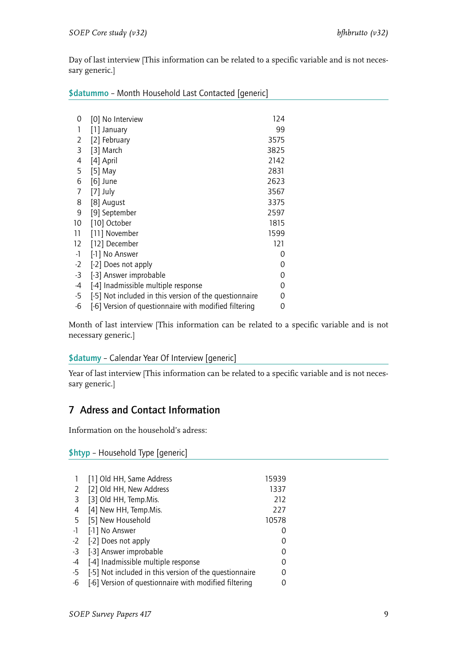Day of last interview [This information can be related to a specific variable and is not necessary generic.]

<span id="page-10-0"></span>\$datummo - Month Household Last Contacted [generic]

| 0    | [0] No Interview                                       | 124  |
|------|--------------------------------------------------------|------|
| 1    | [1] January                                            | 99   |
| 2    | [2] February                                           | 3575 |
| 3    | [3] March                                              | 3825 |
| 4    | [4] April                                              | 2142 |
| 5    | $[5]$ May                                              | 2831 |
| 6    | $[6]$ June                                             | 2623 |
| 7    | $[7]$ July                                             | 3567 |
| 8    | [8] August                                             | 3375 |
| 9    | [9] September                                          | 2597 |
| 10   | [10] October                                           | 1815 |
| 11   | [11] November                                          | 1599 |
| 12   | [12] December                                          | 121  |
| $-1$ | [-1] No Answer                                         | 0    |
| $-2$ | [-2] Does not apply                                    | 0    |
| $-3$ | [-3] Answer improbable                                 | 0    |
| -4   | [-4] Inadmissible multiple response                    | 0    |
| $-5$ | [-5] Not included in this version of the questionnaire | 0    |
| -6   | [-6] Version of questionnaire with modified filtering  | 0    |

Month of last interview [This information can be related to a specific variable and is not necessary generic.]

## <span id="page-10-1"></span>\$datumy – Calendar Year Of Interview [generic]

Year of last interview [This information can be related to a specific variable and is not necessary generic.]

# <span id="page-10-2"></span>7 Adress and Contact Information

Information on the household's adress:

## <span id="page-10-3"></span>\$htyp – Household Type [generic]

|                | [1] Old HH, Same Address                               | 15939 |
|----------------|--------------------------------------------------------|-------|
| 2              | [2] Old HH, New Address                                | 1337  |
| $\overline{3}$ | [3] Old HH, Temp.Mis.                                  | 212   |
| 4              | [4] New HH, Temp.Mis.                                  | 227   |
| 5              | [5] New Household                                      | 10578 |
| $-1$           | [-1] No Answer                                         |       |
| $-2$           | [-2] Does not apply                                    |       |
| $-3$           | [-3] Answer improbable                                 | O     |
| -4             | [-4] Inadmissible multiple response                    | 0     |
| $-5$           | [-5] Not included in this version of the questionnaire |       |
| -6             | [-6] Version of questionnaire with modified filtering  |       |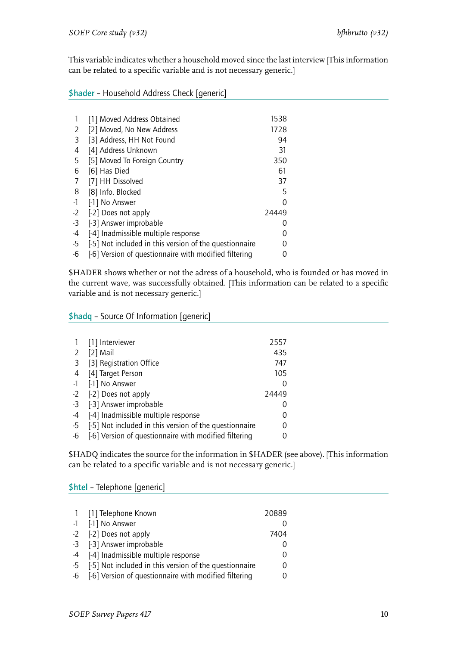This variable indicates whether a household moved since the last interview [This information can be related to a specific variable and is not necessary generic.]

<span id="page-11-0"></span>\$hader – Household Address Check [generic]

|      | [1] Moved Address Obtained                             | 1538          |
|------|--------------------------------------------------------|---------------|
| 2    | [2] Moved, No New Address                              | 1728          |
| 3    | [3] Address, HH Not Found                              | 94            |
| 4    | [4] Address Unknown                                    | 31            |
| 5    | [5] Moved To Foreign Country                           | 350           |
| 6    | [6] Has Died                                           | 61            |
| 7    | [7] HH Dissolved                                       | 37            |
| 8    | [8] Info. Blocked                                      | 5             |
| $-1$ | [-1] No Answer                                         | 0             |
| $-2$ | [-2] Does not apply                                    | 24449         |
| $-3$ | [-3] Answer improbable                                 | $\mathcal{L}$ |
| -4   | [-4] Inadmissible multiple response                    |               |
| $-5$ | [-5] Not included in this version of the questionnaire |               |
| -6   | [-6] Version of questionnaire with modified filtering  |               |

\$HADER shows whether or not the adress of a household, who is founded or has moved in the current wave, was successfully obtained. [This information can be related to a specific variable and is not necessary generic.]

<span id="page-11-1"></span>\$hadq – Source Of Information [generic]

|      | [1] Interviewer                                        | 2557     |  |
|------|--------------------------------------------------------|----------|--|
| 2    | [2] Mail                                               | 435      |  |
| -3   | [3] Registration Office                                | 747      |  |
| 4    | [4] Target Person                                      | 105      |  |
| $-1$ | [-1] No Answer                                         | 0        |  |
| $-2$ | [-2] Does not apply                                    | 24449    |  |
| $-3$ | [-3] Answer improbable                                 | $\Omega$ |  |
| -4   | [-4] Inadmissible multiple response                    | 0        |  |
| $-5$ | [-5] Not included in this version of the questionnaire | 0        |  |
| -6   | [-6] Version of questionnaire with modified filtering  | 0        |  |

\$HADQ indicates the source for the information in \$HADER (see above). [This information can be related to a specific variable and is not necessary generic.]

<span id="page-11-2"></span>\$htel – Telephone [generic]

| 1 [1] Telephone Known                                     | 20889 |
|-----------------------------------------------------------|-------|
| -1 [-1] No Answer                                         |       |
| -2 [-2] Does not apply                                    | 7404  |
| -3 [-3] Answer improbable                                 |       |
| -4 [-4] Inadmissible multiple response                    | 0     |
| -5 [-5] Not included in this version of the questionnaire | 0     |
| -6 [-6] Version of questionnaire with modified filtering  | Ω     |
|                                                           |       |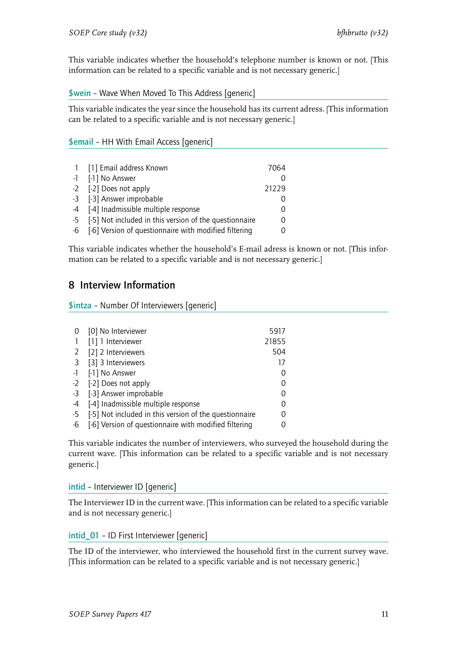This variable indicates whether the household's telephone number is known or not. [This information can be related to a specific variable and is not necessary generic.]

<span id="page-12-0"></span>\$wein – Wave When Moved To This Address [generic]

This variable indicates the year since the household has its current adress. [This information can be related to a specific variable and is not necessary generic.]

<span id="page-12-1"></span>\$email – HH With Email Access [generic]

| 1 [1] Email address Known                                 | 7064  |
|-----------------------------------------------------------|-------|
| -1 [-1] No Answer                                         |       |
| -2 [-2] Does not apply                                    | 21229 |
| -3 [-3] Answer improbable                                 |       |
| -4 [-4] Inadmissible multiple response                    |       |
| -5 [-5] Not included in this version of the questionnaire |       |
| -6 [-6] Version of questionnaire with modified filtering  |       |

This variable indicates whether the household's E-mail adress is known or not. [This information can be related to a specific variable and is not necessary generic.]

# <span id="page-12-2"></span>8 Interview Information

<span id="page-12-3"></span>\$intza – Number Of Interviewers [generic]

|      | [0] No Interviewer                                     | 5917          |
|------|--------------------------------------------------------|---------------|
|      | [1] 1 Interviewer                                      | 21855         |
|      | 2 [2] 2 Interviewers                                   | 504           |
|      | 3 [3] 3 Interviewers                                   | 17            |
|      | -1 [-1] No Answer                                      | $\mathcal{O}$ |
|      | -2 [-2] Does not apply                                 | 0             |
|      | -3 [-3] Answer improbable                              | 0             |
| $-4$ | [-4] Inadmissible multiple response                    | 0             |
| -5   | [-5] Not included in this version of the questionnaire | 0             |
| -6   | [-6] Version of questionnaire with modified filtering  | O             |

This variable indicates the number of interviewers, who surveyed the household during the current wave. [This information can be related to a specific variable and is not necessary generic.]

<span id="page-12-4"></span>intid – Interviewer ID [generic]

The Interviewer ID in the current wave. [This information can be related to a specific variable and is not necessary generic.]

<span id="page-12-5"></span>intid\_01 – ID First Interviewer [generic]

The ID of the interviewer, who interviewed the household first in the current survey wave. [This information can be related to a specific variable and is not necessary generic.]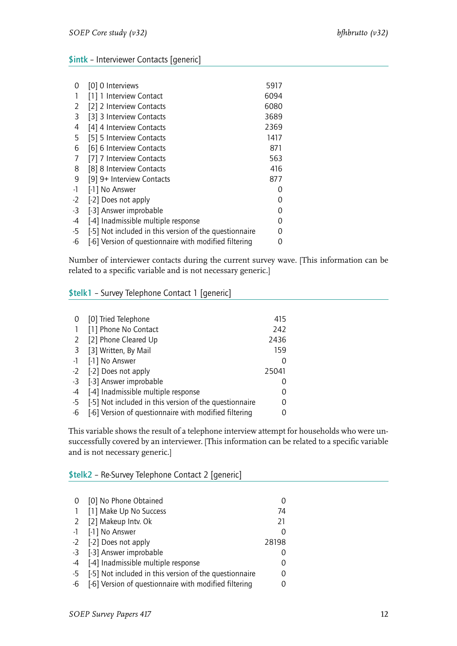## <span id="page-13-0"></span>\$intk – Interviewer Contacts [generic]

|                                                        | 5917             |
|--------------------------------------------------------|------------------|
| [1] 1 Interview Contact                                | 6094             |
| [2] 2 Interview Contacts                               | 6080             |
| [3] 3 Interview Contacts                               | 3689             |
| [4] 4 Interview Contacts                               | 2369             |
| [5] 5 Interview Contacts                               | 1417             |
| [6] 6 Interview Contacts                               | 871              |
| [7] 7 Interview Contacts                               | 563              |
| [8] 8 Interview Contacts                               | 416              |
| [9] 9+ Interview Contacts                              | 877              |
| [-1] No Answer                                         | $\mathcal{O}$    |
| [-2] Does not apply                                    | O                |
| [-3] Answer improbable                                 | Ω                |
| [-4] Inadmissible multiple response                    | Ω                |
| [-5] Not included in this version of the questionnaire | O                |
| [-6] Version of questionnaire with modified filtering  |                  |
|                                                        | [0] 0 Interviews |

Number of interviewer contacts during the current survey wave. [This information can be related to a specific variable and is not necessary generic.]

#### <span id="page-13-1"></span>\$telk1 – Survey Telephone Contact 1 [generic]

| 0    | [0] Tried Telephone                                    | 415   |
|------|--------------------------------------------------------|-------|
|      | [1] Phone No Contact                                   | 242   |
| 2    | [2] Phone Cleared Up                                   | 2436  |
|      | 3 [3] Written, By Mail                                 | 159   |
| $-1$ | [-1] No Answer                                         |       |
| $-2$ | [-2] Does not apply                                    | 25041 |
|      | -3 [-3] Answer improbable                              |       |
| -4   | [-4] Inadmissible multiple response                    |       |
| -5   | [-5] Not included in this version of the questionnaire |       |
| -6   | [-6] Version of questionnaire with modified filtering  |       |

This variable shows the result of a telephone interview attempt for households who were unsuccessfully covered by an interviewer. [This information can be related to a specific variable and is not necessary generic.]

#### <span id="page-13-2"></span>\$telk2 – Re-Survey Telephone Contact 2 [generic]

| 0              | [0] No Phone Obtained                                  |       |
|----------------|--------------------------------------------------------|-------|
| $\overline{1}$ | [1] Make Up No Success                                 | 74    |
|                | 2 [2] Makeup Intv. Ok                                  | 21    |
|                | -1 [-1] No Answer                                      |       |
|                | -2 [-2] Does not apply                                 | 28198 |
|                | -3 [-3] Answer improbable                              |       |
| $-4$           | [-4] Inadmissible multiple response                    |       |
| $-5$           | [-5] Not included in this version of the questionnaire |       |
| -6             | [-6] Version of questionnaire with modified filtering  |       |
|                |                                                        |       |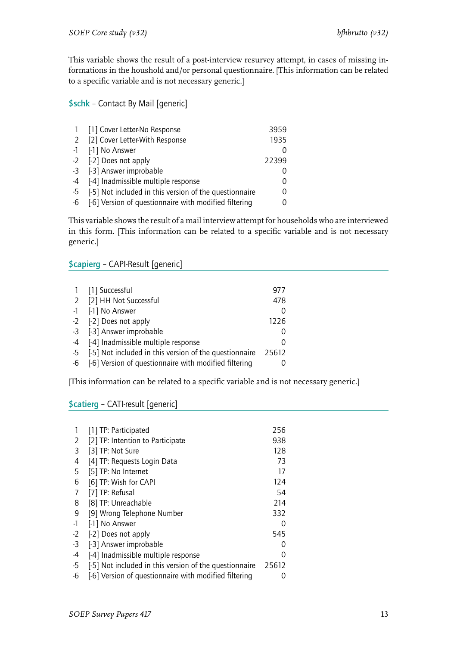This variable shows the result of a post-interview resurvey attempt, in cases of missing informations in the houshold and/or personal questionnaire. [This information can be related to a specific variable and is not necessary generic.]

## <span id="page-14-0"></span>\$schk – Contact By Mail [generic]

|      | [1] Cover Letter-No Response                           | 3959     |
|------|--------------------------------------------------------|----------|
|      | 2 [2] Cover Letter-With Response                       | 1935     |
|      | -1 [-1] No Answer                                      |          |
|      | -2 [-2] Does not apply                                 | 22399    |
|      | -3 [-3] Answer improbable                              |          |
|      | -4 [-4] Inadmissible multiple response                 |          |
| $-5$ | [-5] Not included in this version of the questionnaire | $\left($ |
| -6   | [-6] Version of questionnaire with modified filtering  |          |

This variable shows the result of a mail interview attempt for households who are interviewed in this form. [This information can be related to a specific variable and is not necessary generic.]

## <span id="page-14-1"></span>\$capierg – CAPI-Result [generic]

|      | 1 [1] Successful                                       | 977   |
|------|--------------------------------------------------------|-------|
|      | 2 [2] HH Not Successful                                | 478   |
|      | -1 [-1] No Answer                                      |       |
|      | -2 [-2] Does not apply                                 | 1226  |
|      | -3 [-3] Answer improbable                              |       |
|      | -4 [-4] Inadmissible multiple response                 |       |
| $-5$ | [-5] Not included in this version of the questionnaire | 25612 |
| -6   | [-6] Version of questionnaire with modified filtering  |       |

[This information can be related to a specific variable and is not necessary generic.]

## <span id="page-14-2"></span>\$catierg – CATI-result [generic]

|      | [1] TP: Participated                                   | 256   |
|------|--------------------------------------------------------|-------|
| 2    | [2] TP: Intention to Participate                       | 938   |
| 3    | [3] TP: Not Sure                                       | 128   |
| 4    | [4] TP: Requests Login Data                            | 73    |
| 5    | [5] TP: No Internet                                    | 17    |
| 6    | [6] TP: Wish for CAPI                                  | 124   |
| 7    | [7] TP: Refusal                                        | 54    |
| 8    | [8] TP: Unreachable                                    | 214   |
| 9    | [9] Wrong Telephone Number                             | 332   |
| $-1$ | [-1] No Answer                                         | Ω     |
| $-2$ | [-2] Does not apply                                    | 545   |
| $-3$ | [-3] Answer improbable                                 | Ω     |
| -4   | [-4] Inadmissible multiple response                    | 0     |
| -5   | [-5] Not included in this version of the questionnaire | 25612 |
| -6   | [-6] Version of questionnaire with modified filtering  | 0     |
|      |                                                        |       |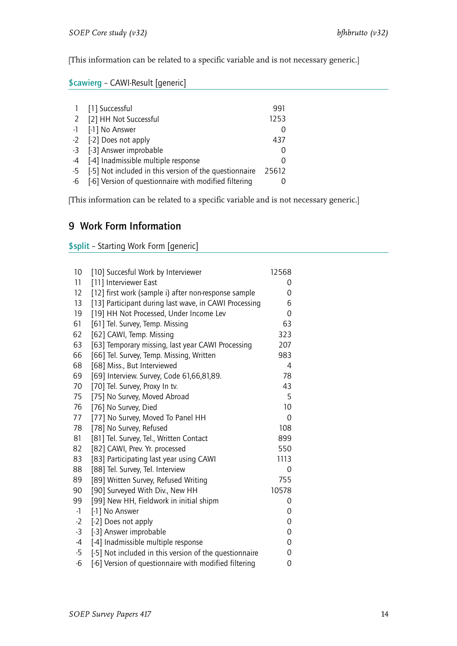[This information can be related to a specific variable and is not necessary generic.]

## <span id="page-15-0"></span>\$cawierg – CAWI-Result [generic]

|      | 1 [1] Successful                                       | 991   |
|------|--------------------------------------------------------|-------|
|      | 2 [2] HH Not Successful                                | 1253  |
|      | -1 [-1] No Answer                                      |       |
|      | -2 [-2] Does not apply                                 | 437   |
|      | -3 [-3] Answer improbable                              |       |
|      | -4 [-4] Inadmissible multiple response                 |       |
| $-5$ | [-5] Not included in this version of the questionnaire | 25612 |
| -6   | [-6] Version of questionnaire with modified filtering  |       |

[This information can be related to a specific variable and is not necessary generic.]

# 9 Work Form Information

\$split – Starting Work Form [generic]

| 10   | [10] Succesful Work by Interviewer                     | 12568    |
|------|--------------------------------------------------------|----------|
| 11   | [11] Interviewer East                                  | 0        |
| 12   | [12] first work (sample i) after non-response sample   | 0        |
| 13   | [13] Participant during last wave, in CAWI Processing  | 6        |
| 19   | [19] HH Not Processed, Under Income Lev                | 0        |
| 61   | [61] Tel. Survey, Temp. Missing                        | 63       |
| 62   | [62] CAWI, Temp. Missing                               | 323      |
| 63   | [63] Temporary missing, last year CAWI Processing      | 207      |
| 66   | [66] Tel. Survey, Temp. Missing, Written               | 983      |
| 68   | [68] Miss., But Interviewed                            | 4        |
| 69   | [69] Interview. Survey, Code 61,66,81,89.              | 78       |
| 70   | [70] Tel. Survey, Proxy In tv.                         | 43       |
| 75   | [75] No Survey, Moved Abroad                           | 5        |
| 76   | [76] No Survey, Died                                   | 10       |
| 77   | [77] No Survey, Moved To Panel HH                      | $\Omega$ |
| 78   | [78] No Survey, Refused                                | 108      |
| 81   | [81] Tel. Survey, Tel., Written Contact                | 899      |
| 82   | [82] CAWI, Prev. Yr. processed                         | 550      |
| 83   | [83] Participating last year using CAWI                | 1113     |
| 88   | [88] Tel. Survey, Tel. Interview                       | 0        |
| 89   | [89] Written Survey, Refused Writing                   | 755      |
| 90   | [90] Surveyed With Div., New HH                        | 10578    |
| 99   | [99] New HH, Fieldwork in initial shipm                | 0        |
| $-1$ | [-1] No Answer                                         | 0        |
| $-2$ | [-2] Does not apply                                    | 0        |
| $-3$ | [-3] Answer improbable                                 | 0        |
| $-4$ | [-4] Inadmissible multiple response                    | 0        |
| $-5$ | [-5] Not included in this version of the questionnaire | 0        |
| $-6$ | [-6] Version of questionnaire with modified filtering  | 0        |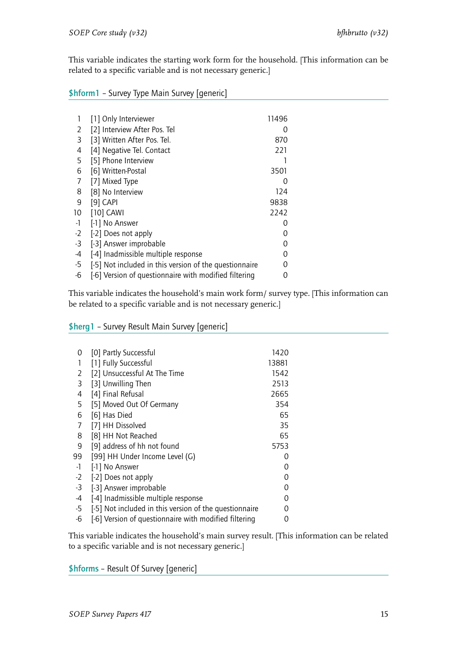This variable indicates the starting work form for the household. [This information can be related to a specific variable and is not necessary generic.]

<span id="page-16-0"></span>\$hform1 – Survey Type Main Survey [generic]

|      | [1] Only Interviewer                                   | 11496            |
|------|--------------------------------------------------------|------------------|
| 2    | [2] Interview After Pos. Tel                           | 0                |
| 3    | [3] Written After Pos. Tel.                            | 870              |
| 4    | [4] Negative Tel. Contact                              | 221              |
| 5    | [5] Phone Interview                                    |                  |
| 6    | [6] Written-Postal                                     | 3501             |
| 7    | [7] Mixed Type                                         | $\left( \right)$ |
| 8    | [8] No Interview                                       | 124              |
| 9    | $[9]$ CAPI                                             | 9838             |
| 10   | [10] CAWI                                              | 2242             |
| -1   | [-1] No Answer                                         | O                |
| $-2$ | [-2] Does not apply                                    | O                |
| $-3$ | [-3] Answer improbable                                 | Ω                |
| -4   | [-4] Inadmissible multiple response                    | 0                |
| $-5$ | [-5] Not included in this version of the questionnaire | 0                |
| $-6$ | [-6] Version of questionnaire with modified filtering  | 0                |

This variable indicates the household's main work form/ survey type. [This information can be related to a specific variable and is not necessary generic.]

#### <span id="page-16-1"></span>\$herg1 – Survey Result Main Survey [generic]

| [0] Partly Successful                                  | 1420  |
|--------------------------------------------------------|-------|
| [1] Fully Successful                                   | 13881 |
| [2] Unsuccessful At The Time                           | 1542  |
| [3] Unwilling Then                                     | 2513  |
| [4] Final Refusal                                      | 2665  |
| [5] Moved Out Of Germany                               | 354   |
| [6] Has Died                                           | 65    |
| [7] HH Dissolved                                       | 35    |
| [8] HH Not Reached                                     | 65    |
| [9] address of hh not found                            | 5753  |
| [99] HH Under Income Level (G)                         | 0     |
| [-1] No Answer                                         | O     |
| [-2] Does not apply                                    | 0     |
| [-3] Answer improbable                                 | 0     |
| [-4] Inadmissible multiple response                    | ი     |
| [-5] Not included in this version of the questionnaire | O     |
| [-6] Version of questionnaire with modified filtering  | O     |
|                                                        |       |

This variable indicates the household's main survey result. [This information can be related to a specific variable and is not necessary generic.]

<span id="page-16-2"></span>\$hforms – Result Of Survey [generic]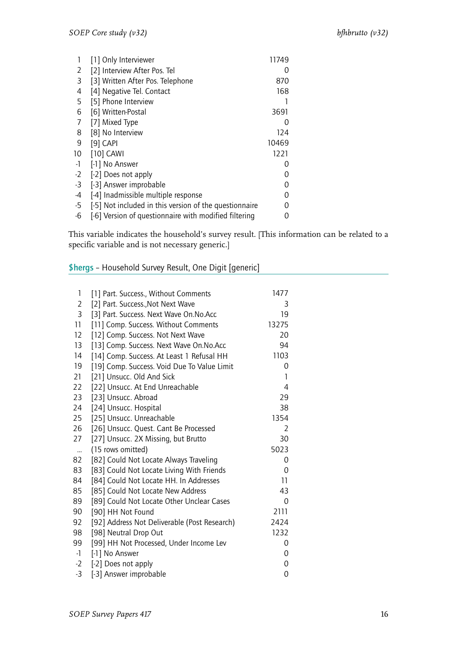|      | [1] Only Interviewer                                   | 11749         |
|------|--------------------------------------------------------|---------------|
| 2    | [2] Interview After Pos. Tel                           | $\mathcal{L}$ |
| 3    | [3] Written After Pos. Telephone                       | 870           |
| 4    | [4] Negative Tel. Contact                              | 168           |
| 5    | [5] Phone Interview                                    |               |
| 6    | [6] Written-Postal                                     | 3691          |
| 7    | [7] Mixed Type                                         | 0             |
| 8    | [8] No Interview                                       | 124           |
| 9    | $[9]$ CAPI                                             | 10469         |
| 10   | [10] CAWI                                              | 1221          |
| $-1$ | [-1] No Answer                                         | $\mathcal{L}$ |
| $-2$ | [-2] Does not apply                                    |               |
| $-3$ | [-3] Answer improbable                                 | Ω             |
| -4   | [-4] Inadmissible multiple response                    | Ω             |
| -5   | [-5] Not included in this version of the questionnaire | ი             |
| -6   | [-6] Version of questionnaire with modified filtering  | O             |

This variable indicates the household's survey result. [This information can be related to a specific variable and is not necessary generic.]

## <span id="page-17-0"></span>\$hergs – Household Survey Result, One Digit [generic]

| 1         | [1] Part. Success., Without Comments         | 1477  |
|-----------|----------------------------------------------|-------|
| 2         | [2] Part. Success., Not Next Wave            | 3     |
| 3         | [3] Part. Success. Next Wave On.No.Acc       | 19    |
| 11        | [11] Comp. Success. Without Comments         | 13275 |
| 12        | [12] Comp. Success. Not Next Wave            | 20    |
| 13        | [13] Comp. Success. Next Wave On.No.Acc      | 94    |
| 14        | [14] Comp. Success. At Least 1 Refusal HH    | 1103  |
| 19        | [19] Comp. Success. Void Due To Value Limit  | 0     |
| 21        | [21] Unsucc. Old And Sick                    | 1     |
| 22        | [22] Unsucc. At End Unreachable              | 4     |
| 23        | [23] Unsucc. Abroad                          | 29    |
| 24        | [24] Unsucc. Hospital                        | 38    |
| 25        | [25] Unsucc. Unreachable                     | 1354  |
| 26        | [26] Unsucc. Quest. Cant Be Processed        | 2     |
| 27        | [27] Unsucc. 2X Missing, but Brutto          | 30    |
| $\ddotsc$ | (15 rows omitted)                            | 5023  |
| 82        | [82] Could Not Locate Always Traveling       | 0     |
| 83        | [83] Could Not Locate Living With Friends    | 0     |
| 84        | [84] Could Not Locate HH. In Addresses       | 11    |
| 85        | [85] Could Not Locate New Address            | 43    |
| 89        | [89] Could Not Locate Other Unclear Cases    | 0     |
| 90        | [90] HH Not Found                            | 2111  |
| 92        | [92] Address Not Deliverable (Post Research) | 2424  |
| 98        | [98] Neutral Drop Out                        | 1232  |
| 99        | [99] HH Not Processed, Under Income Lev      | 0     |
| $-1$      | [-1] No Answer                               | 0     |
| $-2$      | [-2] Does not apply                          | 0     |
| $-3$      | [-3] Answer improbable                       | 0     |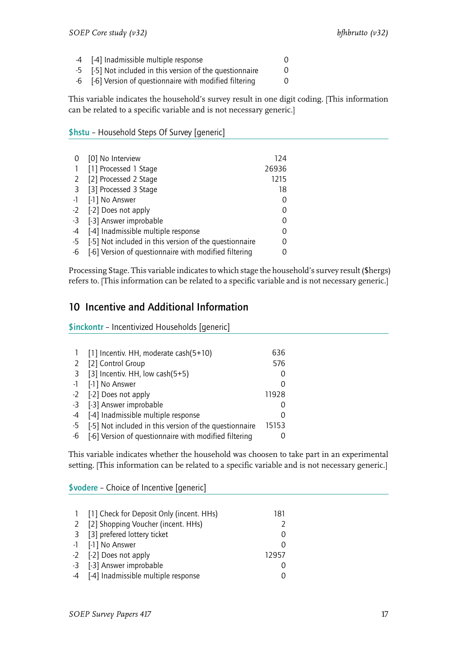- -4 [-4] Inadmissible multiple response 0
- -5 [-5] Not included in this version of the questionnaire 0
- -6 [-6] Version of questionnaire with modified filtering 0

This variable indicates the household's survey result in one digit coding. [This information can be related to a specific variable and is not necessary generic.]

#### <span id="page-18-0"></span>\$hstu – Household Steps Of Survey [generic]

|      | [0] No Interview                                       | 124   |
|------|--------------------------------------------------------|-------|
|      | [1] Processed 1 Stage                                  | 26936 |
| 2    | [2] Processed 2 Stage                                  | 1215  |
| 3    | [3] Processed 3 Stage                                  | 18    |
| $-1$ | [-1] No Answer                                         | 0     |
| $-2$ | [-2] Does not apply                                    | 0     |
|      | -3 [-3] Answer improbable                              | 0     |
| -4   | [-4] Inadmissible multiple response                    |       |
| $-5$ | [-5] Not included in this version of the questionnaire |       |
| -6   | [-6] Version of questionnaire with modified filtering  |       |

Processing Stage. This variable indicates to which stage the household's survey result (\$hergs) refers to. [This information can be related to a specific variable and is not necessary generic.]

# <span id="page-18-1"></span>10 Incentive and Additional Information

\$inckontr – Incentivized Households [generic]

|    | [1] Incentiv. HH, moderate cash(5+10)                  | 636   |
|----|--------------------------------------------------------|-------|
|    | 2 [2] Control Group                                    | 576   |
|    | 3 [3] Incentiv. HH, low cash(5+5)                      |       |
|    | -1 [-1] No Answer                                      |       |
|    | -2 [-2] Does not apply                                 | 11928 |
|    | -3 [-3] Answer improbable                              |       |
|    | -4 [-4] Inadmissible multiple response                 |       |
| -5 | [-5] Not included in this version of the questionnaire | 15153 |
| -6 | [-6] Version of questionnaire with modified filtering  |       |

This variable indicates whether the household was choosen to take part in an experimental setting. [This information can be related to a specific variable and is not necessary generic.]

\$vodere – Choice of Incentive [generic]

| 1 [1] Check for Deposit Only (incent. HHs) | 181   |
|--------------------------------------------|-------|
| 2 [2] Shopping Voucher (incent. HHs)       |       |
| 3 [3] prefered lottery ticket              |       |
| -1 [-1] No Answer                          |       |
| -2 [-2] Does not apply                     | 12957 |
| -3 [-3] Answer improbable                  |       |
| -4 [-4] Inadmissible multiple response     |       |